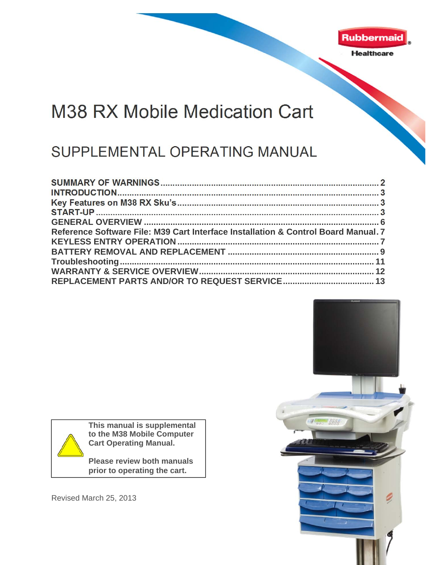

**Healthcare** 

# M38 RX Mobile Medication Cart

## SUPPLEMENTAL OPERATING MANUAL

| Reference Software File: M39 Cart Interface Installation & Control Board Manual. 7 |  |
|------------------------------------------------------------------------------------|--|
|                                                                                    |  |
|                                                                                    |  |
|                                                                                    |  |
|                                                                                    |  |
|                                                                                    |  |





**This manual is supplemental to the M38 Mobile Computer Cart Operating Manual.** 

**Please review both manuals prior to operating the cart.** 

Revised March 25, 2013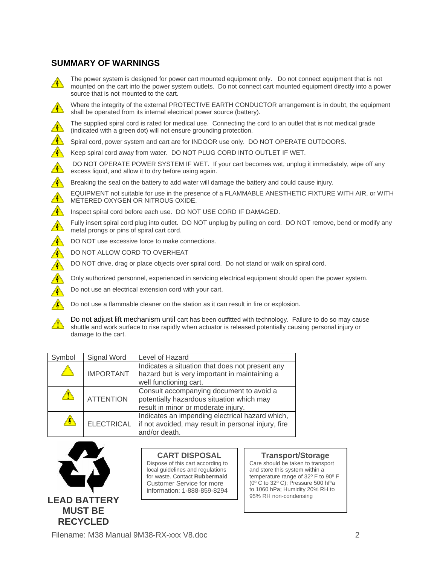## **SUMMARY OF WARNINGS**

- The power system is designed for power cart mounted equipment only. Do not connect equipment that is not A mounted on the cart into the power system outlets. Do not connect cart mounted equipment directly into a power source that is not mounted to the cart.
- Where the integrity of the external PROTECTIVE EARTH CONDUCTOR arrangement is in doubt, the equipment  $\mathcal{A}$ shall be operated from its internal electrical power source (battery).
- The supplied spiral cord is rated for medical use. Connecting the cord to an outlet that is not medical grade  $\sqrt{4}$ (indicated with a green dot) will not ensure grounding protection.
- $\mathbb{A}$ Spiral cord, power system and cart are for INDOOR use only. DO NOT OPERATE OUTDOORS.
- A Keep spiral cord away from water. DO NOT PLUG CORD INTO OUTLET IF WET.
- DO NOT OPERATE POWER SYSTEM IF WET. If your cart becomes wet, unplug it immediately, wipe off any excess liquid, and allow it to dry before using again.
- Breaking the seal on the battery to add water will damage the battery and could cause injury. A
- EQUIPMENT not suitable for use in the presence of a FLAMMABLE ANESTHETIC FIXTURE WITH AIR, or WITH METERED OXYGEN OR NITROUS OXIDE.
- A Inspect spiral cord before each use. DO NOT USE CORD IF DAMAGED.
	- Fully insert spiral cord plug into outlet. DO NOT unplug by pulling on cord. DO NOT remove, bend or modify any metal prongs or pins of spiral cart cord.
	- DO NOT use excessive force to make connections.
	- DO NOT ALLOW CORD TO OVERHEAT
	- DO NOT drive, drag or place objects over spiral cord. Do not stand or walk on spiral cord.
	- Only authorized personnel, experienced in servicing electrical equipment should open the power system.
	- Do not use an electrical extension cord with your cart.
	- Do not use a flammable cleaner on the station as it can result in fire or explosion.
- Do not adjust lift mechanism until cart has been outfitted with technology. Failure to do so may cause  $\sqrt{N}$ shuttle and work surface to rise rapidly when actuator is released potentially causing personal injury or damage to the cart.

| ymbol        | Signal Word       | Level of Hazard                                                                                                              |
|--------------|-------------------|------------------------------------------------------------------------------------------------------------------------------|
|              | <b>IMPORTANT</b>  | Indicates a situation that does not present any<br>hazard but is very important in maintaining a<br>well functioning cart.   |
| / <u> </u> \ | <b>ATTENTION</b>  | Consult accompanying document to avoid a<br>potentially hazardous situation which may<br>result in minor or moderate injury. |
|              | <b>ELECTRICAL</b> | Indicates an impending electrical hazard which,<br>if not avoided, may result in personal injury, fire<br>and/or death.      |



A Æ  $\sqrt{\phantom{.}}\,$ 

## **CART DISPOSAL**

Dispose of this cart according to local guidelines and regulations for waste. Contact **Rubbermaid** Customer Service for more information: 1-888-859-8294

#### **Transport/Storage**

Care should be taken to transport and store this system within a temperature range of 32º F to 90º F (0º C to 32º C); Pressure 500 hPa to 1060 hPa; Humidity 20% RH to 95% RH non-condensing

Filename: M38 Manual 9M38-RX-xxx V8.doc 2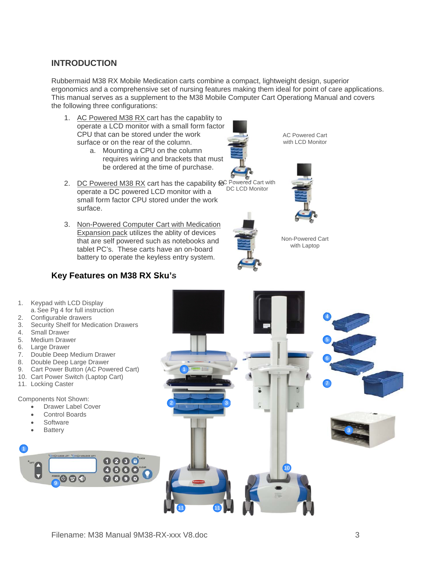## **INTRODUCTION**

Rubbermaid M38 RX Mobile Medication carts combine a compact, lightweight design, superior ergonomics and a comprehensive set of nursing features making them ideal for point of care applications. This manual serves as a supplement to the M38 Mobile Computer Cart Operationg Manual and covers the following three configurations:

- 1. AC Powered M38 RX cart has the capablity to operate a LCD monitor with a small form factor CPU that can be stored under the work surface or on the rear of the column.
	- a. Mounting a CPU on the column requires wiring and brackets that must be ordered at the time of purchase.
- 2. DC Powered M38 RX cart has the capability to Powered Cart with operate a DC powered LCD monitor with a small form factor CPU stored under the work surface. DC LCD Monitor
- 3. Non-Powered Computer Cart with Medication Expansion pack utilizes the ablity of devices that are self powered such as notebooks and tablet PC's. These carts have an on-board battery to operate the keyless entry system.

## **Key Features on M38 RX Sku's**



AC Powered Cart with LCD Monitor



Non-Powered Cart with Laptop

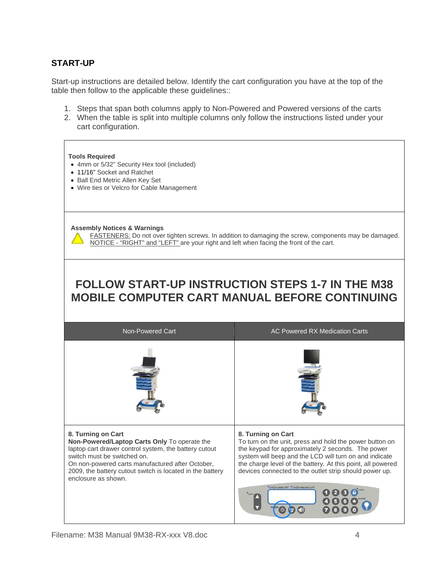## **START-UP**

Start-up instructions are detailed below. Identify the cart configuration you have at the top of the table then follow to the applicable these guidelines::

- 1. Steps that span both columns apply to Non-Powered and Powered versions of the carts
- 2. When the table is split into multiple columns only follow the instructions listed under your cart configuration.

#### **Tools Required**

- 4mm or 5/32" Security Hex tool (included)
- 11/16" Socket and Ratchet
- Ball End Metric Allen Key Set
- Wire ties or Velcro for Cable Management

#### **Assembly Notices & Warnings**

FASTENERS: Do not over tighten screws. In addition to damaging the screw, components may be damaged. NOTICE - "RIGHT" and "LEFT" are your right and left when facing the front of the cart.

## **FOLLOW START-UP INSTRUCTION STEPS 1-7 IN THE M38 MOBILE COMPUTER CART MANUAL BEFORE CONTINUING**

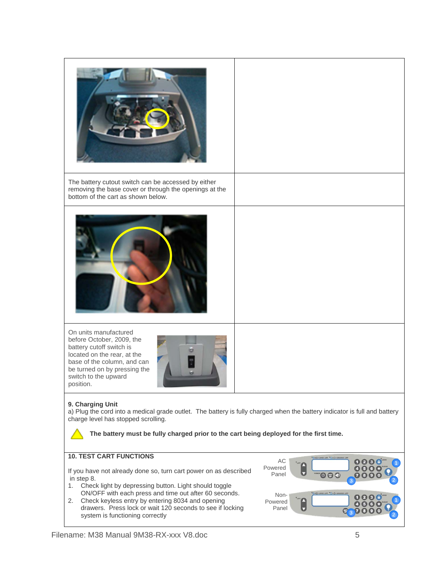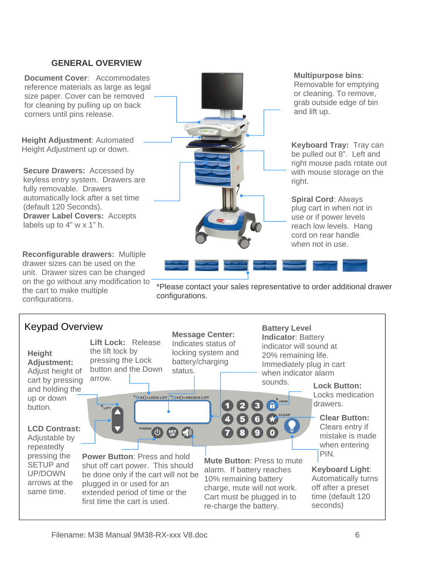## **GENERAL OVERVIEW**

**Document Cover**: Accommodates reference materials as large as legal size paper. Cover can be removed for cleaning by pulling up on back corners until pins release.

**Height Adjustment**: Automated Height Adjustment up or down.

**Secure Drawers:** Accessed by keyless entry system. Drawers are fully removable. Drawers automatically lock after a set time (default 120 Seconds). **Drawer Label Covers:** Accepts labels up to 4" w x 1" h.

**Reconfigurable drawers:** Multiple drawer sizes can be used on the unit. Drawer sizes can be changed on the go without any modification to the cart to make multiple configurations.



**Multipurpose bins**: Removable for emptying or cleaning. To remove, grab outside edge of bin and lift up.

**Keyboard Tray:** Tray can be pulled out 8". Left and right mouse pads rotate out with mouse storage on the right.

**Spiral Cord**: Always plug cart in when not in use or if power levels reach low levels. Hang cord on rear handle when not in use.

\*Please contact your sales representative to order additional drawer configurations.

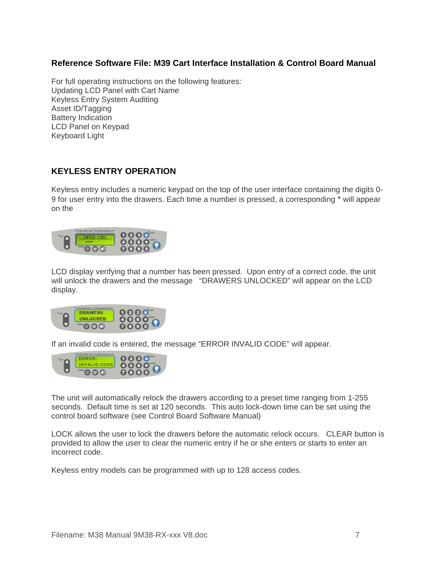## **Reference Software File: M39 Cart Interface Installation & Control Board Manual**

For full operating instructions on the following features: Updating LCD Panel with Cart Name Keyless Entry System Auditing Asset ID/Tagging Battery Indication LCD Panel on Keypad Keyboard Light

### **KEYLESS ENTRY OPERATION**

Keyless entry includes a numeric keypad on the top of the user interface containing the digits 0- 9 for user entry into the drawers. Each time a number is pressed, a corresponding \* will appear on the



LCD display verifying that a number has been pressed. Upon entry of a correct code, the unit will unlock the drawers and the message "DRAWERS UNLOCKED" will appear on the LCD display.



If an invalid code is entered, the message "ERROR INVALID CODE" will appear.



The unit will automatically relock the drawers according to a preset time ranging from 1-255 seconds. Default time is set at 120 seconds. This auto lock-down time can be set using the control board software (see Control Board Software Manual)

LOCK allows the user to lock the drawers before the automatic relock occurs. CLEAR button is provided to allow the user to clear the numeric entry if he or she enters or starts to enter an incorrect code.

Keyless entry models can be programmed with up to 128 access codes.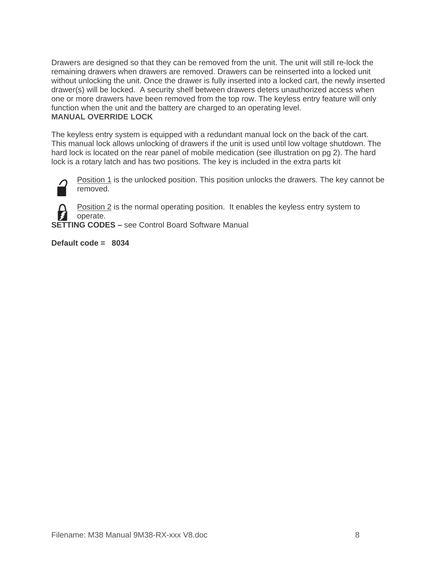Drawers are designed so that they can be removed from the unit. The unit will still re-lock the remaining drawers when drawers are removed. Drawers can be reinserted into a locked unit without unlocking the unit. Once the drawer is fully inserted into a locked cart, the newly inserted drawer(s) will be locked. A security shelf between drawers deters unauthorized access when one or more drawers have been removed from the top row. The keyless entry feature will only function when the unit and the battery are charged to an operating level. **MANUAL OVERRIDE LOCK** 

The keyless entry system is equipped with a redundant manual lock on the back of the cart. This manual lock allows unlocking of drawers if the unit is used until low voltage shutdown. The hard lock is located on the rear panel of mobile medication (see illustration on pg 2). The hard lock is a rotary latch and has two positions. The key is included in the extra parts kit



Position 1 is the unlocked position. This position unlocks the drawers. The key cannot be removed.

Position 2 is the normal operating position. It enables the keyless entry system to operate.

**SETTING CODES – see Control Board Software Manual** 

**Default code = 8034**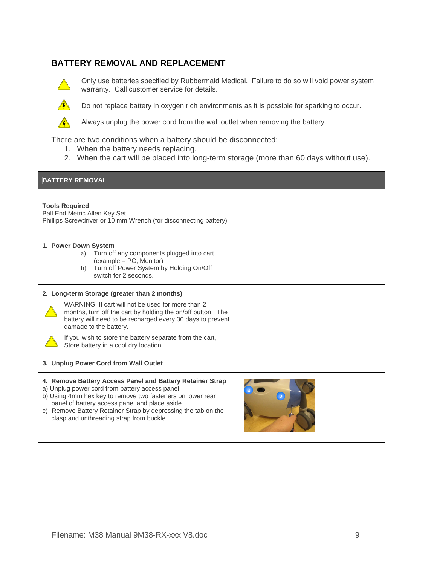## **BATTERY REMOVAL AND REPLACEMENT**



Only use batteries specified by Rubbermaid Medical. Failure to do so will void power system warranty. Call customer service for details.



Do not replace battery in oxygen rich environments as it is possible for sparking to occur.

Always unplug the power cord from the wall outlet when removing the battery.

There are two conditions when a battery should be disconnected:

- 1. When the battery needs replacing.
- 2. When the cart will be placed into long-term storage (more than 60 days without use).

#### **BATTERY REMOVAL**

#### **Tools Required**

Ball End Metric Allen Key Set Phillips Screwdriver or 10 mm Wrench (for disconnecting battery)

#### **1. Power Down System**

- a) Turn off any components plugged into cart (example – PC, Monitor)
- b) Turn off Power System by Holding On/Off switch for 2 seconds.

#### **2. Long-term Storage (greater than 2 months)**



WARNING: If cart will not be used for more than 2 months, turn off the cart by holding the on/off button. The battery will need to be recharged every 30 days to prevent damage to the battery.



If you wish to store the battery separate from the cart, Store battery in a cool dry location.

#### **3. Unplug Power Cord from Wall Outlet**

#### **4. Remove Battery Access Panel and Battery Retainer Strap**

- a) Unplug power cord from battery access panel
- b) Using 4mm hex key to remove two fasteners on lower rear panel of battery access panel and place aside.
- c) Remove Battery Retainer Strap by depressing the tab on the clasp and unthreading strap from buckle.

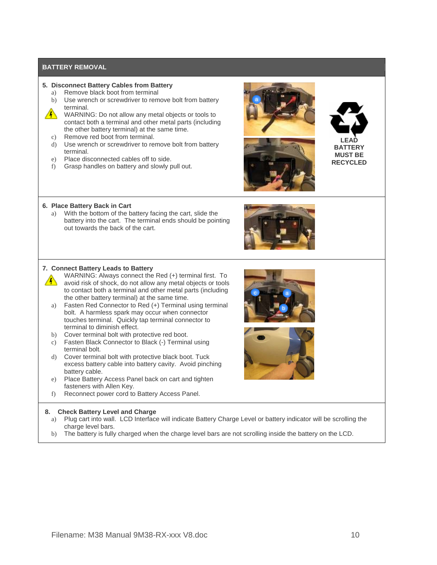#### **BATTERY REMOVAL**

#### **5. Disconnect Battery Cables from Battery**

- a) Remove black boot from terminal
- b) Use wrench or screwdriver to remove bolt from battery terminal.
- $\sqrt{4}$  WARNING: Do not allow any metal objects or tools to contact both a terminal and other metal parts (including the other battery terminal) at the same time.
	- c) Remove red boot from terminal.
	- d) Use wrench or screwdriver to remove bolt from battery terminal.
	- e) Place disconnected cables off to side.
	- f) Grasp handles on battery and slowly pull out.









#### **6. Place Battery Back in Cart**

a) With the bottom of the battery facing the cart, slide the battery into the cart. The terminal ends should be pointing out towards the back of the cart.

#### **7. Connect Battery Leads to Battery**

- WARNING: Always connect the Red (+) terminal first. To  $\mathcal{A}$ avoid risk of shock, do not allow any metal objects or tools to contact both a terminal and other metal parts (including the other battery terminal) at the same time.
	- a) Fasten Red Connector to Red (+) Terminal using terminal bolt. A harmless spark may occur when connector touches terminal. Quickly tap terminal connector to terminal to diminish effect.
	- b) Cover terminal bolt with protective red boot.
	- c) Fasten Black Connector to Black (-) Terminal using terminal bolt.
	- d) Cover terminal bolt with protective black boot. Tuck excess battery cable into battery cavity. Avoid pinching battery cable.
	- e) Place Battery Access Panel back on cart and tighten fasteners with Allen Key.
	- f) Reconnect power cord to Battery Access Panel.

#### **8. Check Battery Level and Charge**

- a) Plug cart into wall. LCD Interface will indicate Battery Charge Level or battery indicator will be scrolling the charge level bars.
- b) The battery is fully charged when the charge level bars are not scrolling inside the battery on the LCD.



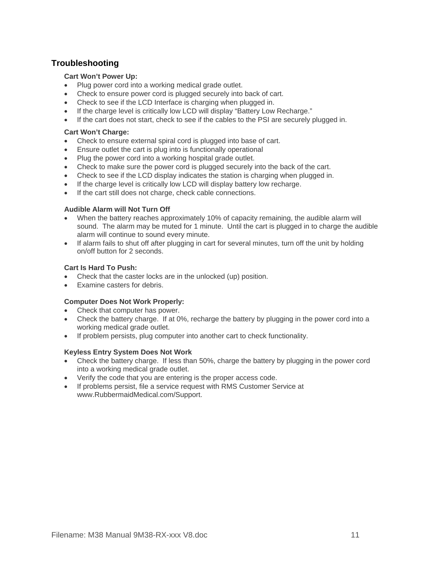## **Troubleshooting**

#### **Cart Won't Power Up:**

- Plug power cord into a working medical grade outlet.
- Check to ensure power cord is plugged securely into back of cart.
- Check to see if the LCD Interface is charging when plugged in.
- If the charge level is critically low LCD will display "Battery Low Recharge."
- If the cart does not start, check to see if the cables to the PSI are securely plugged in.

#### **Cart Won't Charge:**

- Check to ensure external spiral cord is plugged into base of cart.
- Ensure outlet the cart is plug into is functionally operational
- Plug the power cord into a working hospital grade outlet.
- Check to make sure the power cord is plugged securely into the back of the cart.
- Check to see if the LCD display indicates the station is charging when plugged in.
- If the charge level is critically low LCD will display battery low recharge.
- If the cart still does not charge, check cable connections.

#### **Audible Alarm will Not Turn Off**

- When the battery reaches approximately 10% of capacity remaining, the audible alarm will sound. The alarm may be muted for 1 minute. Until the cart is plugged in to charge the audible alarm will continue to sound every minute.
- If alarm fails to shut off after plugging in cart for several minutes, turn off the unit by holding on/off button for 2 seconds.

#### **Cart Is Hard To Push:**

- Check that the caster locks are in the unlocked (up) position.
- Examine casters for debris.

#### **Computer Does Not Work Properly:**

- Check that computer has power.
- Check the battery charge. If at 0%, recharge the battery by plugging in the power cord into a working medical grade outlet.
- If problem persists, plug computer into another cart to check functionality.

#### **Keyless Entry System Does Not Work**

- Check the battery charge. If less than 50%, charge the battery by plugging in the power cord into a working medical grade outlet.
- Verify the code that you are entering is the proper access code.
- If problems persist, file a service request with RMS Customer Service at www.RubbermaidMedical.com/Support.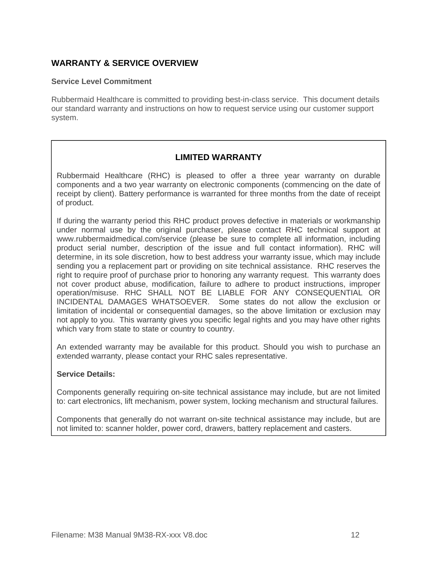## **WARRANTY & SERVICE OVERVIEW**

#### **Service Level Commitment**

Rubbermaid Healthcare is committed to providing best-in-class service. This document details our standard warranty and instructions on how to request service using our customer support system.

## **LIMITED WARRANTY**

Rubbermaid Healthcare (RHC) is pleased to offer a three year warranty on durable components and a two year warranty on electronic components (commencing on the date of receipt by client). Battery performance is warranted for three months from the date of receipt of product.

If during the warranty period this RHC product proves defective in materials or workmanship under normal use by the original purchaser, please contact RHC technical support at www.rubbermaidmedical.com/service (please be sure to complete all information, including product serial number, description of the issue and full contact information). RHC will determine, in its sole discretion, how to best address your warranty issue, which may include sending you a replacement part or providing on site technical assistance. RHC reserves the right to require proof of purchase prior to honoring any warranty request. This warranty does not cover product abuse, modification, failure to adhere to product instructions, improper operation/misuse. RHC SHALL NOT BE LIABLE FOR ANY CONSEQUENTIAL OR INCIDENTAL DAMAGES WHATSOEVER. Some states do not allow the exclusion or limitation of incidental or consequential damages, so the above limitation or exclusion may not apply to you. This warranty gives you specific legal rights and you may have other rights which vary from state to state or country to country.

An extended warranty may be available for this product. Should you wish to purchase an extended warranty, please contact your RHC sales representative.

#### **Service Details:**

Components generally requiring on-site technical assistance may include, but are not limited to: cart electronics, lift mechanism, power system, locking mechanism and structural failures.

Components that generally do not warrant on-site technical assistance may include, but are not limited to: scanner holder, power cord, drawers, battery replacement and casters.